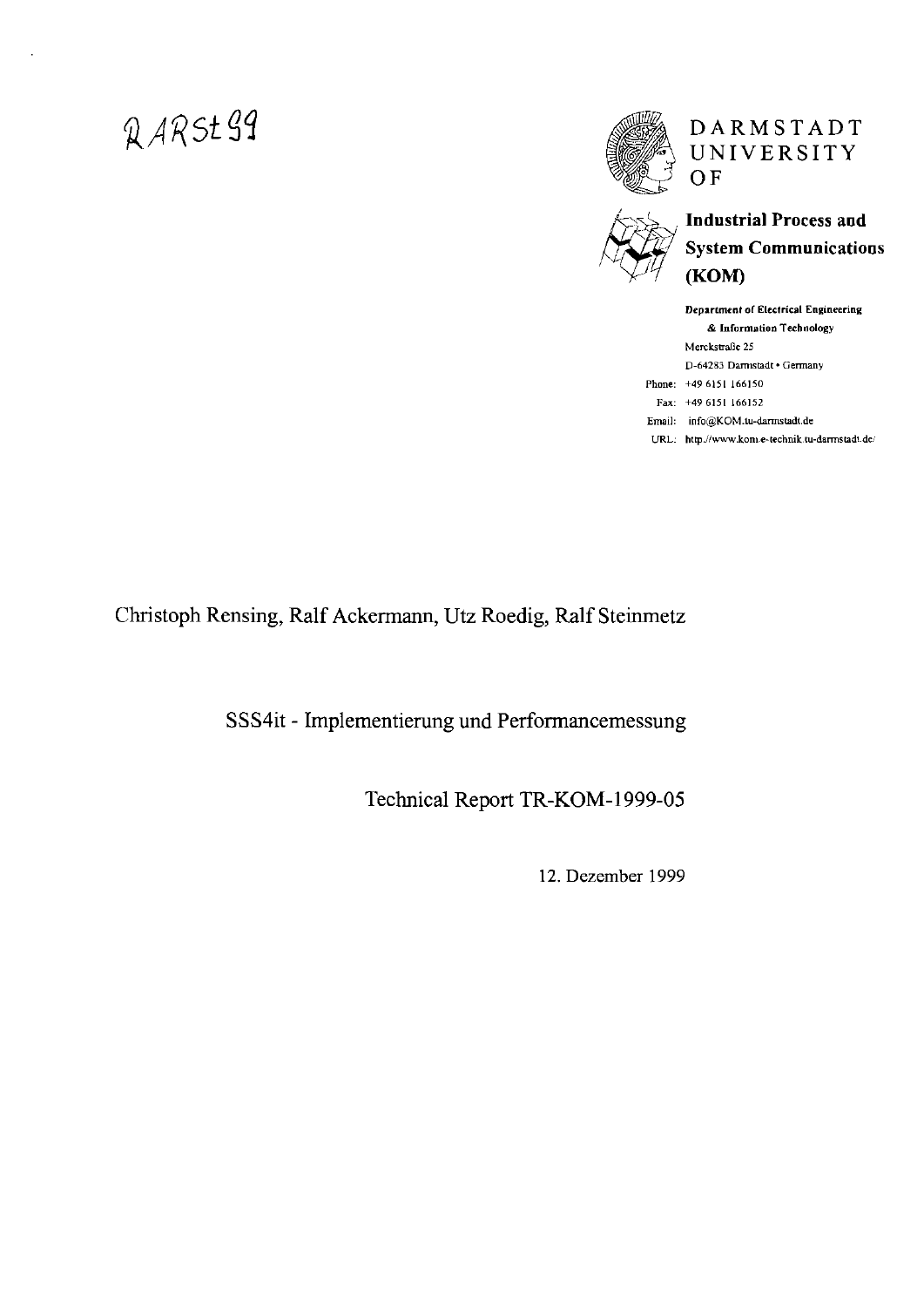# QARSt99



# DARMSTADT UNIVERSITY  $OF$



# **Industrial Process and System Communications** (KOM)

|      | Department of Electrical Engineering      |
|------|-------------------------------------------|
|      | & Information Technology                  |
|      | Merckstraße 25                            |
|      | D-64283 Darmstadt · Germany               |
|      | Phone: +49 6151 166150                    |
|      | Fax: $+496151166152$                      |
|      | Email: info@KOM.tu-darmstadt.de           |
| URL: | http://www.kom.e-technik.tu-darmstadt.de/ |

Christoph Rensing, Ralf Ackermann, Utz Roedig, Ralf Steinmetz

SSS4it - Implementierung und Performancemessung

Technical Report TR-KOM-1999-05

12. Dezember 1999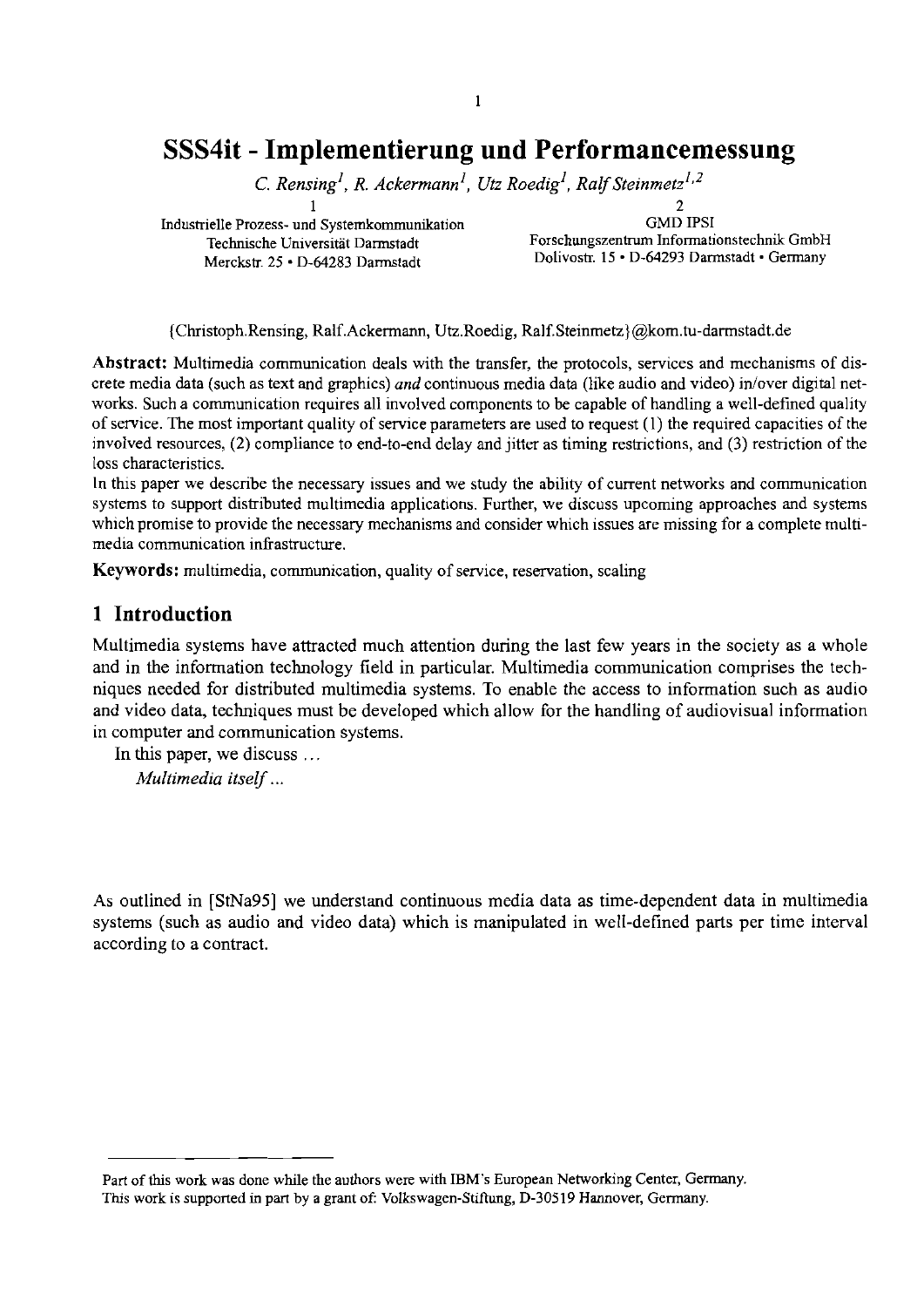#### $\mathbf{1}$

# **SSS4it** - **Implementierung und Performancemessung**

*C. Rensing<sup>1</sup>, R. Ackermann<sup>1</sup>, Utz Roedig<sup>1</sup>, Ralf Steinmetz<sup>1,2</sup>* 

Industrielle Prozess- und Systemkommunikation GMD IPSI<br>Technische Universität Darmstadt Forschungszentrum Informati

 $1$  2 Technische Universität Darmstadt Forschungszentrum Informationstechnik GmbH<br>Merckstr. 25 · D-64283 Darmstadt Dolivostr. 15 · D-64293 Darmstadt · Germany Dolivostr. 15 · D-64293 Darmstadt · Germany

{Christoph.Rensing, Ralf.Ackermann, Utz.Roedig, Ralf.Steinmetz}@kom.tu-darmstadt.de

**Abstract:** Multimedia communication deals with the transfer, the protocols, services and mechanisms of discrete media data (such as text and graphics) *and* continuous media data (like audio and video) in/over digital networks. Such a communication requires all involved components to be capable of handling a well-defined qualiiy of service. The most important quality of service parameters are used to request (1) the required capacities of the involved resources, (2) compliance to end-to-end delay and jitter as timing restrictions, and (3) restriction of the lass characteristics.

In this paper we describe the necessary issues and we study the ability of cument networks and communication systems to support distributed multimedia applications. Further, we discuss upcoming approaches and systems which promise to provide the necessary mechanisms and consider which issues **arc** missing for a complete multimedia communication infrastructure.

**Keywords:** multimedia, communication, quality of service, reservation, scaling

## **1 Introduction**

Multimedia systems have attracted much attention during the last few years in the society as a whole and in the information technology field in particular. Multimedia communication comprises the techniques needed for distributed multimedia systems. To enable the access to information such as audio and video data, techniques must be developed which allow for the handling of audiovisual information in computer and communication systems.

In this paper, we discuss ... *Multimedia itself* ...

**As** outlined in [StNa95] we understand continuous media data **as** time-dependent data in multimedia systems (such as audio and video data) which is manipulated in well-defined parts per time interval according to a contract.

Part of this work was done while the authors were with IBM's European Networking Center, Germany. This work is supported in part by a grant of: Volkswagen-Stiftung, D-30519 Hannover, Germany.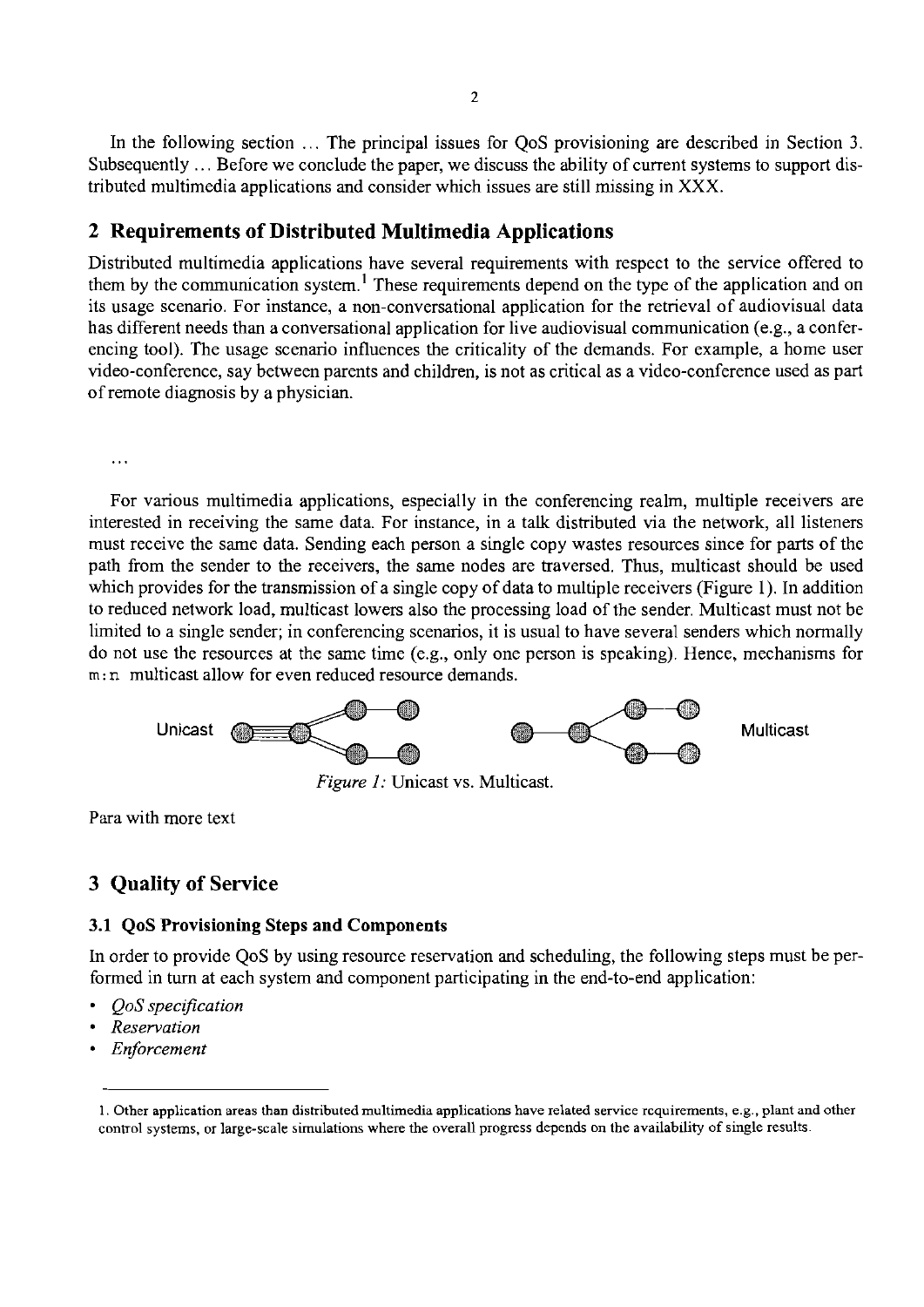In the following section ... The principal issues for QoS provisioning are described in Section 3. Subsequently ... Before we conclude the paper, we discuss the ability of current systems to support distnbuted multimedia applications and consider which issues are still missing in XXX.

# **2 Requirements of Distributed Multimedia Applications**

Distributed multimedia applications have several requirements with respect to the service offered to them by the comrnunication system.' These requirements depend on the type of the application and on its usage scenano. For instance, a non-conversational application for the retneval of audiovisual data has different needs than a conversational application for live audiovisual communication (e.g., a conferencing tool). The usage scenario influences the criticality of the demands. For example, a home user video-conference, say between parents and children, is not as critical as a video-conference used as part of remote diagnosis by a physician.

 $\ddotsc$ 

For various multimedia applications, especially in the conferencing realm, multiple receivers are interested in receiving the same data. For instance, in a talk distributed via the network, all listeners must receive the same data. Sending each person a single copy wastes resources since for parts of the path from the sender to the receivers, the same nodes are traversed. Thus, multicast should be used which provides for the transmission of a single copy of data to multiple receivers (Figure 1). In addition to reduced network load, multicast lowers also the processing load of the sender. Multicast must not be limited to a single sender; in conferencing scenarios, it is usual to have several senders which normally do not use the resources at the same time (e.g., only one person is speaking). Hence, mechanisms for m: n multicast allow for even reduced resource demands.



Para with more text

# **3 Quality of Service**

#### **3.1 QoS Provisioning Steps and Components**

In order to provide QoS by using resource reservation and scheduling, the following steps must be performed in **turn** at each system and component participating in the end-to-end application:

- QoS *speczfication*
- *Reservation*
- *Enforcement*

<sup>1.</sup> Other application areas than distributed multimedia applications have related Service rcquirements, e.g., plant and other control systems, or large-scale simulations where the overall progress depends on the availability of single results.